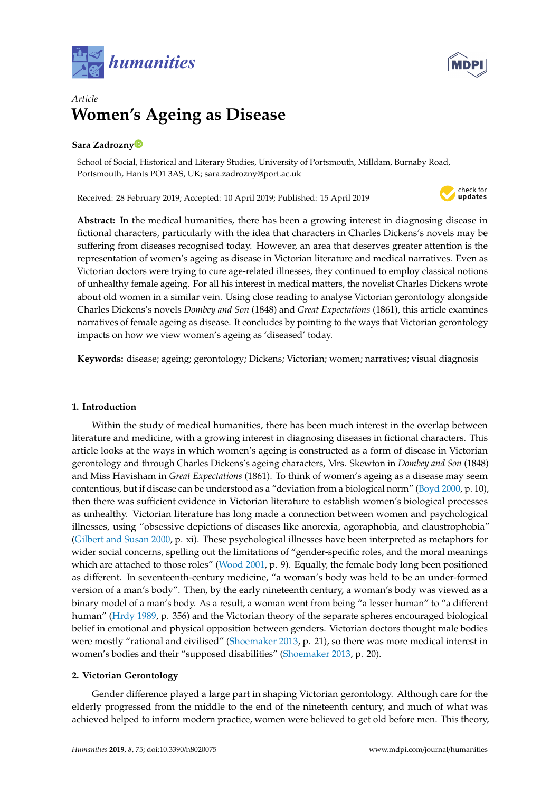



# *Article* **Women's Ageing as Disease**

# **Sara Zadrozn[y](https://orcid.org/0000-0003-1441-3087)**

School of Social, Historical and Literary Studies, University of Portsmouth, Milldam, Burnaby Road, Portsmouth, Hants PO1 3AS, UK; sara.zadrozny@port.ac.uk

Received: 28 February 2019; Accepted: 10 April 2019; Published: 15 April 2019



**Abstract:** In the medical humanities, there has been a growing interest in diagnosing disease in fictional characters, particularly with the idea that characters in Charles Dickens's novels may be suffering from diseases recognised today. However, an area that deserves greater attention is the representation of women's ageing as disease in Victorian literature and medical narratives. Even as Victorian doctors were trying to cure age-related illnesses, they continued to employ classical notions of unhealthy female ageing. For all his interest in medical matters, the novelist Charles Dickens wrote about old women in a similar vein. Using close reading to analyse Victorian gerontology alongside Charles Dickens's novels *Dombey and Son* (1848) and *Great Expectations* (1861), this article examines narratives of female ageing as disease. It concludes by pointing to the ways that Victorian gerontology impacts on how we view women's ageing as 'diseased' today.

**Keywords:** disease; ageing; gerontology; Dickens; Victorian; women; narratives; visual diagnosis

## **1. Introduction**

Within the study of medical humanities, there has been much interest in the overlap between literature and medicine, with a growing interest in diagnosing diseases in fictional characters. This article looks at the ways in which women's ageing is constructed as a form of disease in Victorian gerontology and through Charles Dickens's ageing characters, Mrs. Skewton in *Dombey and Son* (1848) and Miss Havisham in *Great Expectations* (1861). To think of women's ageing as a disease may seem contentious, but if disease can be understood as a "deviation from a biological norm" [\(Boyd](#page-7-0) [2000,](#page-7-0) p. 10), then there was sufficient evidence in Victorian literature to establish women's biological processes as unhealthy. Victorian literature has long made a connection between women and psychological illnesses, using "obsessive depictions of diseases like anorexia, agoraphobia, and claustrophobia" [\(Gilbert and Susan](#page-7-1) [2000,](#page-7-1) p. xi). These psychological illnesses have been interpreted as metaphors for wider social concerns, spelling out the limitations of "gender-specific roles, and the moral meanings which are attached to those roles" [\(Wood](#page-8-0) [2001,](#page-8-0) p. 9). Equally, the female body long been positioned as different. In seventeenth-century medicine, "a woman's body was held to be an under-formed version of a man's body". Then, by the early nineteenth century, a woman's body was viewed as a binary model of a man's body. As a result, a woman went from being "a lesser human" to "a different human" [\(Hrdy](#page-7-2) [1989,](#page-7-2) p. 356) and the Victorian theory of the separate spheres encouraged biological belief in emotional and physical opposition between genders. Victorian doctors thought male bodies were mostly "rational and civilised" [\(Shoemaker](#page-8-1) [2013,](#page-8-1) p. 21), so there was more medical interest in women's bodies and their "supposed disabilities" [\(Shoemaker](#page-8-1) [2013,](#page-8-1) p. 20).

## **2. Victorian Gerontology**

Gender difference played a large part in shaping Victorian gerontology. Although care for the elderly progressed from the middle to the end of the nineteenth century, and much of what was achieved helped to inform modern practice, women were believed to get old before men. This theory,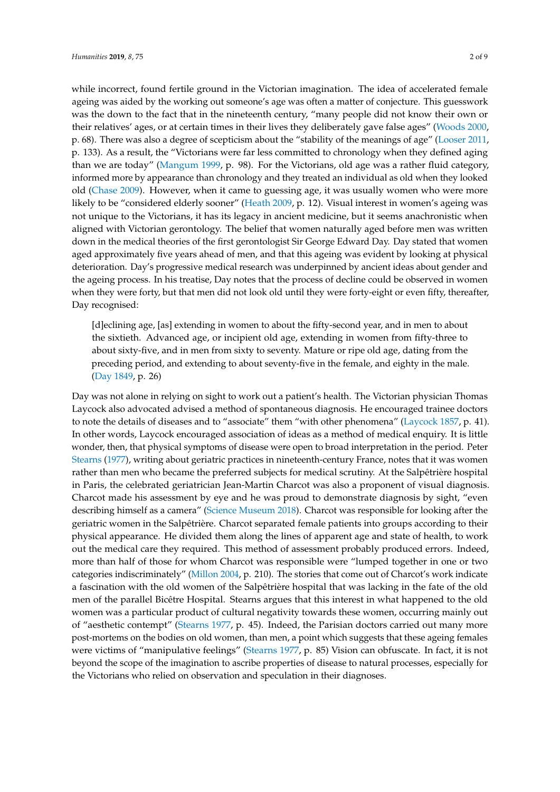while incorrect, found fertile ground in the Victorian imagination. The idea of accelerated female ageing was aided by the working out someone's age was often a matter of conjecture. This guesswork was the down to the fact that in the nineteenth century, "many people did not know their own or their relatives' ages, or at certain times in their lives they deliberately gave false ages" [\(Woods](#page-8-2) [2000,](#page-8-2) p. 68). There was also a degree of scepticism about the "stability of the meanings of age" [\(Looser](#page-8-3) [2011,](#page-8-3) p. 133). As a result, the "Victorians were far less committed to chronology when they defined aging than we are today" [\(Mangum](#page-8-4) [1999,](#page-8-4) p. 98). For the Victorians, old age was a rather fluid category, informed more by appearance than chronology and they treated an individual as old when they looked old [\(Chase](#page-7-3) [2009\)](#page-7-3). However, when it came to guessing age, it was usually women who were more likely to be "considered elderly sooner" [\(Heath](#page-7-4) [2009,](#page-7-4) p. 12). Visual interest in women's ageing was not unique to the Victorians, it has its legacy in ancient medicine, but it seems anachronistic when aligned with Victorian gerontology. The belief that women naturally aged before men was written down in the medical theories of the first gerontologist Sir George Edward Day. Day stated that women aged approximately five years ahead of men, and that this ageing was evident by looking at physical deterioration. Day's progressive medical research was underpinned by ancient ideas about gender and the ageing process. In his treatise, Day notes that the process of decline could be observed in women when they were forty, but that men did not look old until they were forty-eight or even fifty, thereafter, Day recognised:

[d]eclining age, [as] extending in women to about the fifty-second year, and in men to about the sixtieth. Advanced age, or incipient old age, extending in women from fifty-three to about sixty-five, and in men from sixty to seventy. Mature or ripe old age, dating from the preceding period, and extending to about seventy-five in the female, and eighty in the male. [\(Day](#page-7-5) [1849,](#page-7-5) p. 26)

Day was not alone in relying on sight to work out a patient's health. The Victorian physician Thomas Laycock also advocated advised a method of spontaneous diagnosis. He encouraged trainee doctors to note the details of diseases and to "associate" them "with other phenomena" [\(Laycock](#page-8-5) [1857,](#page-8-5) p. 41). In other words, Laycock encouraged association of ideas as a method of medical enquiry. It is little wonder, then, that physical symptoms of disease were open to broad interpretation in the period. Peter [Stearns](#page-8-6) [\(1977\)](#page-8-6), writing about geriatric practices in nineteenth-century France, notes that it was women rather than men who became the preferred subjects for medical scrutiny. At the Salpêtrière hospital in Paris, the celebrated geriatrician Jean-Martin Charcot was also a proponent of visual diagnosis. Charcot made his assessment by eye and he was proud to demonstrate diagnosis by sight, "even describing himself as a camera" [\(Science Museum](#page-8-7) [2018\)](#page-8-7). Charcot was responsible for looking after the geriatric women in the Salpêtrière. Charcot separated female patients into groups according to their physical appearance. He divided them along the lines of apparent age and state of health, to work out the medical care they required. This method of assessment probably produced errors. Indeed, more than half of those for whom Charcot was responsible were "lumped together in one or two categories indiscriminately" [\(Millon](#page-8-8) [2004,](#page-8-8) p. 210). The stories that come out of Charcot's work indicate a fascination with the old women of the Salpêtrière hospital that was lacking in the fate of the old men of the parallel Bicêtre Hospital. Stearns argues that this interest in what happened to the old women was a particular product of cultural negativity towards these women, occurring mainly out of "aesthetic contempt" [\(Stearns](#page-8-6) [1977,](#page-8-6) p. 45). Indeed, the Parisian doctors carried out many more post-mortems on the bodies on old women, than men, a point which suggests that these ageing females were victims of "manipulative feelings" [\(Stearns](#page-8-6) [1977,](#page-8-6) p. 85) Vision can obfuscate. In fact, it is not beyond the scope of the imagination to ascribe properties of disease to natural processes, especially for the Victorians who relied on observation and speculation in their diagnoses.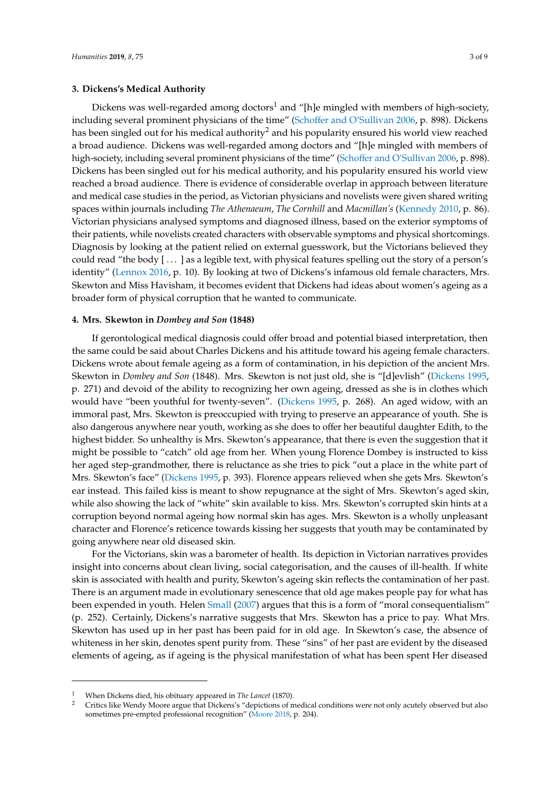#### **3. Dickens's Medical Authority**

Dickens was well-regarded among doctors<sup>1</sup> and "[h]e mingled with members of high-society, including several prominent physicians of the time" (Schoff[er and O'Sullivan](#page-8-9) [2006,](#page-8-9) p. 898). Dickens has been singled out for his medical authority<sup>2</sup> and his popularity ensured his world view reached a broad audience. Dickens was well-regarded among doctors and "[h]e mingled with members of high-society, including several prominent physicians of the time" (Schoff[er and O'Sullivan](#page-8-9) [2006,](#page-8-9) p. 898). Dickens has been singled out for his medical authority, and his popularity ensured his world view reached a broad audience. There is evidence of considerable overlap in approach between literature and medical case studies in the period, as Victorian physicians and novelists were given shared writing spaces within journals including *The Athenaeum*, *The Cornhill* and *Macmillan's* [\(Kennedy](#page-7-6) [2010,](#page-7-6) p. 86). Victorian physicians analysed symptoms and diagnosed illness, based on the exterior symptoms of their patients, while novelists created characters with observable symptoms and physical shortcomings. Diagnosis by looking at the patient relied on external guesswork, but the Victorians believed they could read "the body [ . . . ] as a legible text, with physical features spelling out the story of a person's identity" [\(Lennox](#page-8-10) [2016,](#page-8-10) p. 10). By looking at two of Dickens's infamous old female characters, Mrs. Skewton and Miss Havisham, it becomes evident that Dickens had ideas about women's ageing as a broader form of physical corruption that he wanted to communicate.

#### **4. Mrs. Skewton in** *Dombey and Son* **(1848)**

If gerontological medical diagnosis could offer broad and potential biased interpretation, then the same could be said about Charles Dickens and his attitude toward his ageing female characters. Dickens wrote about female ageing as a form of contamination, in his depiction of the ancient Mrs. Skewton in *Dombey and Son* (1848). Mrs. Skewton is not just old, she is "[d]evlish" [\(Dickens](#page-7-7) [1995,](#page-7-7) p. 271) and devoid of the ability to recognizing her own ageing, dressed as she is in clothes which would have "been youthful for twenty-seven". [\(Dickens](#page-7-7) [1995,](#page-7-7) p. 268). An aged widow, with an immoral past, Mrs. Skewton is preoccupied with trying to preserve an appearance of youth. She is also dangerous anywhere near youth, working as she does to offer her beautiful daughter Edith, to the highest bidder. So unhealthy is Mrs. Skewton's appearance, that there is even the suggestion that it might be possible to "catch" old age from her. When young Florence Dombey is instructed to kiss her aged step-grandmother, there is reluctance as she tries to pick "out a place in the white part of Mrs. Skewton's face" [\(Dickens](#page-7-7) [1995,](#page-7-7) p. 393). Florence appears relieved when she gets Mrs. Skewton's ear instead. This failed kiss is meant to show repugnance at the sight of Mrs. Skewton's aged skin, while also showing the lack of "white" skin available to kiss. Mrs. Skewton's corrupted skin hints at a corruption beyond normal ageing how normal skin has ages. Mrs. Skewton is a wholly unpleasant character and Florence's reticence towards kissing her suggests that youth may be contaminated by going anywhere near old diseased skin.

For the Victorians, skin was a barometer of health. Its depiction in Victorian narratives provides insight into concerns about clean living, social categorisation, and the causes of ill-health. If white skin is associated with health and purity, Skewton's ageing skin reflects the contamination of her past. There is an argument made in evolutionary senescence that old age makes people pay for what has been expended in youth. Helen [Small](#page-8-11) [\(2007\)](#page-8-11) argues that this is a form of "moral consequentialism" (p. 252). Certainly, Dickens's narrative suggests that Mrs. Skewton has a price to pay. What Mrs. Skewton has used up in her past has been paid for in old age. In Skewton's case, the absence of whiteness in her skin, denotes spent purity from. These "sins" of her past are evident by the diseased elements of ageing, as if ageing is the physical manifestation of what has been spent Her diseased

<sup>1</sup> When Dickens died, his obituary appeared in *The Lancet* (1870).

<sup>2</sup> Critics like Wendy Moore argue that Dickens's "depictions of medical conditions were not only acutely observed but also sometimes pre-empted professional recognition" [\(Moore](#page-8-12) [2018,](#page-8-12) p. 204).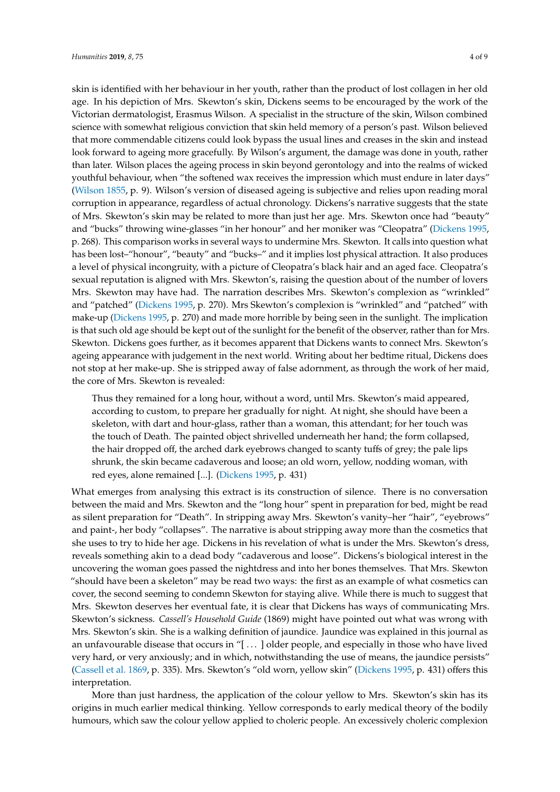skin is identified with her behaviour in her youth, rather than the product of lost collagen in her old age. In his depiction of Mrs. Skewton's skin, Dickens seems to be encouraged by the work of the Victorian dermatologist, Erasmus Wilson. A specialist in the structure of the skin, Wilson combined science with somewhat religious conviction that skin held memory of a person's past. Wilson believed that more commendable citizens could look bypass the usual lines and creases in the skin and instead look forward to ageing more gracefully. By Wilson's argument, the damage was done in youth, rather than later. Wilson places the ageing process in skin beyond gerontology and into the realms of wicked youthful behaviour, when "the softened wax receives the impression which must endure in later days" [\(Wilson](#page-8-13) [1855,](#page-8-13) p. 9). Wilson's version of diseased ageing is subjective and relies upon reading moral corruption in appearance, regardless of actual chronology. Dickens's narrative suggests that the state of Mrs. Skewton's skin may be related to more than just her age. Mrs. Skewton once had "beauty" and "bucks" throwing wine-glasses "in her honour" and her moniker was "Cleopatra" [\(Dickens](#page-7-7) [1995,](#page-7-7) p. 268). This comparison works in several ways to undermine Mrs. Skewton. It calls into question what has been lost–"honour", "beauty" and "bucks–" and it implies lost physical attraction. It also produces a level of physical incongruity, with a picture of Cleopatra's black hair and an aged face. Cleopatra's sexual reputation is aligned with Mrs. Skewton's, raising the question about of the number of lovers Mrs. Skewton may have had. The narration describes Mrs. Skewton's complexion as "wrinkled" and "patched" [\(Dickens](#page-7-7) [1995,](#page-7-7) p. 270). Mrs Skewton's complexion is "wrinkled" and "patched" with make-up [\(Dickens](#page-7-7) [1995,](#page-7-7) p. 270) and made more horrible by being seen in the sunlight. The implication is that such old age should be kept out of the sunlight for the benefit of the observer, rather than for Mrs. Skewton. Dickens goes further, as it becomes apparent that Dickens wants to connect Mrs. Skewton's ageing appearance with judgement in the next world. Writing about her bedtime ritual, Dickens does not stop at her make-up. She is stripped away of false adornment, as through the work of her maid, the core of Mrs. Skewton is revealed:

Thus they remained for a long hour, without a word, until Mrs. Skewton's maid appeared, according to custom, to prepare her gradually for night. At night, she should have been a skeleton, with dart and hour-glass, rather than a woman, this attendant; for her touch was the touch of Death. The painted object shrivelled underneath her hand; the form collapsed, the hair dropped off, the arched dark eyebrows changed to scanty tuffs of grey; the pale lips shrunk, the skin became cadaverous and loose; an old worn, yellow, nodding woman, with red eyes, alone remained [...]. [\(Dickens](#page-7-7) [1995,](#page-7-7) p. 431)

What emerges from analysing this extract is its construction of silence. There is no conversation between the maid and Mrs. Skewton and the "long hour" spent in preparation for bed, might be read as silent preparation for "Death". In stripping away Mrs. Skewton's vanity–her "hair", "eyebrows" and paint-, her body "collapses". The narrative is about stripping away more than the cosmetics that she uses to try to hide her age. Dickens in his revelation of what is under the Mrs. Skewton's dress, reveals something akin to a dead body "cadaverous and loose". Dickens's biological interest in the uncovering the woman goes passed the nightdress and into her bones themselves. That Mrs. Skewton "should have been a skeleton" may be read two ways: the first as an example of what cosmetics can cover, the second seeming to condemn Skewton for staying alive. While there is much to suggest that Mrs. Skewton deserves her eventual fate, it is clear that Dickens has ways of communicating Mrs. Skewton's sickness. *Cassell's Household Guide* (1869) might have pointed out what was wrong with Mrs. Skewton's skin. She is a walking definition of jaundice. Jaundice was explained in this journal as an unfavourable disease that occurs in "[ . . . ] older people, and especially in those who have lived very hard, or very anxiously; and in which, notwithstanding the use of means, the jaundice persists" [\(Cassell et al.](#page-7-8) [1869,](#page-7-8) p. 335). Mrs. Skewton's "old worn, yellow skin" [\(Dickens](#page-7-7) [1995,](#page-7-7) p. 431) offers this interpretation.

More than just hardness, the application of the colour yellow to Mrs. Skewton's skin has its origins in much earlier medical thinking. Yellow corresponds to early medical theory of the bodily humours, which saw the colour yellow applied to choleric people. An excessively choleric complexion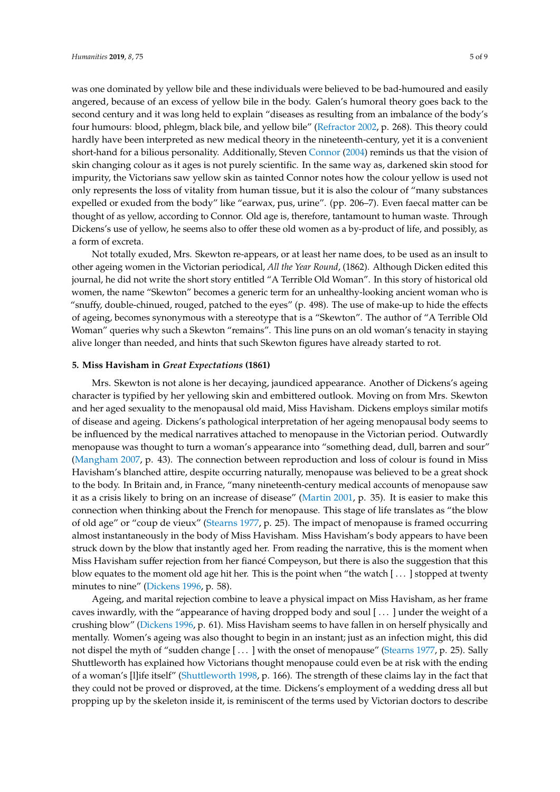was one dominated by yellow bile and these individuals were believed to be bad-humoured and easily angered, because of an excess of yellow bile in the body. Galen's humoral theory goes back to the second century and it was long held to explain "diseases as resulting from an imbalance of the body's four humours: blood, phlegm, black bile, and yellow bile" [\(Refractor](#page-8-14) [2002,](#page-8-14) p. 268). This theory could hardly have been interpreted as new medical theory in the nineteenth-century, yet it is a convenient short-hand for a bilious personality. Additionally, Steven [Connor](#page-7-9) [\(2004\)](#page-7-9) reminds us that the vision of skin changing colour as it ages is not purely scientific. In the same way as, darkened skin stood for impurity, the Victorians saw yellow skin as tainted Connor notes how the colour yellow is used not only represents the loss of vitality from human tissue, but it is also the colour of "many substances expelled or exuded from the body" like "earwax, pus, urine". (pp. 206–7). Even faecal matter can be thought of as yellow, according to Connor. Old age is, therefore, tantamount to human waste. Through Dickens's use of yellow, he seems also to offer these old women as a by-product of life, and possibly, as a form of excreta.

Not totally exuded, Mrs. Skewton re-appears, or at least her name does, to be used as an insult to other ageing women in the Victorian periodical, *All the Year Round*, (1862). Although Dicken edited this journal, he did not write the short story entitled "A Terrible Old Woman". In this story of historical old women, the name "Skewton" becomes a generic term for an unhealthy-looking ancient woman who is "snuffy, double-chinued, rouged, patched to the eyes" (p. 498). The use of make-up to hide the effects of ageing, becomes synonymous with a stereotype that is a "Skewton". The author of "A Terrible Old Woman" queries why such a Skewton "remains". This line puns on an old woman's tenacity in staying alive longer than needed, and hints that such Skewton figures have already started to rot.

#### **5. Miss Havisham in** *Great Expectations* **(1861)**

Mrs. Skewton is not alone is her decaying, jaundiced appearance. Another of Dickens's ageing character is typified by her yellowing skin and embittered outlook. Moving on from Mrs. Skewton and her aged sexuality to the menopausal old maid, Miss Havisham. Dickens employs similar motifs of disease and ageing. Dickens's pathological interpretation of her ageing menopausal body seems to be influenced by the medical narratives attached to menopause in the Victorian period. Outwardly menopause was thought to turn a woman's appearance into "something dead, dull, barren and sour" [\(Mangham](#page-8-15) [2007,](#page-8-15) p. 43). The connection between reproduction and loss of colour is found in Miss Havisham's blanched attire, despite occurring naturally, menopause was believed to be a great shock to the body. In Britain and, in France, "many nineteenth-century medical accounts of menopause saw it as a crisis likely to bring on an increase of disease" [\(Martin](#page-8-16) [2001,](#page-8-16) p. 35). It is easier to make this connection when thinking about the French for menopause. This stage of life translates as "the blow of old age" or "coup de vieux" [\(Stearns](#page-8-6) [1977,](#page-8-6) p. 25). The impact of menopause is framed occurring almost instantaneously in the body of Miss Havisham. Miss Havisham's body appears to have been struck down by the blow that instantly aged her. From reading the narrative, this is the moment when Miss Havisham suffer rejection from her fiancé Compeyson, but there is also the suggestion that this blow equates to the moment old age hit her. This is the point when "the watch [ . . . ] stopped at twenty minutes to nine" [\(Dickens](#page-7-10) [1996,](#page-7-10) p. 58).

Ageing, and marital rejection combine to leave a physical impact on Miss Havisham, as her frame caves inwardly, with the "appearance of having dropped body and soul [ . . . ] under the weight of a crushing blow" [\(Dickens](#page-7-10) [1996,](#page-7-10) p. 61). Miss Havisham seems to have fallen in on herself physically and mentally. Women's ageing was also thought to begin in an instant; just as an infection might, this did not dispel the myth of "sudden change [ . . . ] with the onset of menopause" [\(Stearns](#page-8-6) [1977,](#page-8-6) p. 25). Sally Shuttleworth has explained how Victorians thought menopause could even be at risk with the ending of a woman's [l]ife itself" [\(Shuttleworth](#page-8-17) [1998,](#page-8-17) p. 166). The strength of these claims lay in the fact that they could not be proved or disproved, at the time. Dickens's employment of a wedding dress all but propping up by the skeleton inside it, is reminiscent of the terms used by Victorian doctors to describe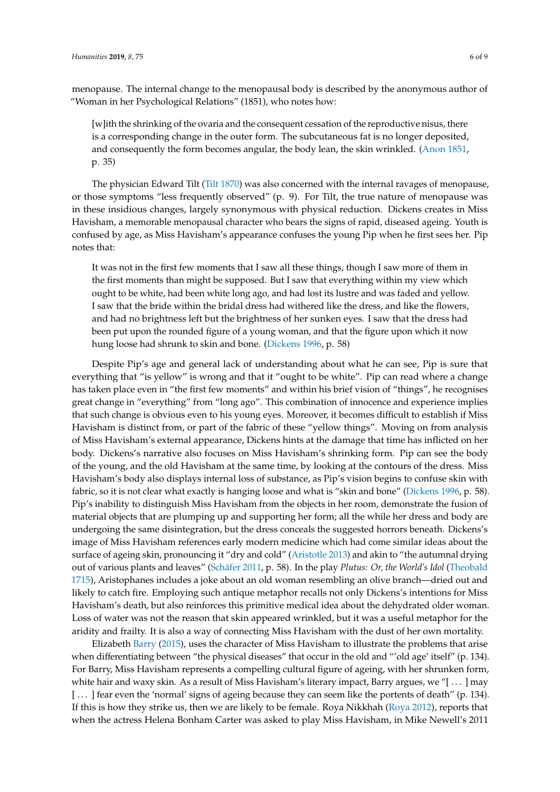menopause. The internal change to the menopausal body is described by the anonymous author of "Woman in her Psychological Relations" (1851), who notes how:

[w]ith the shrinking of the ovaria and the consequent cessation of the reproductive nisus, there is a corresponding change in the outer form. The subcutaneous fat is no longer deposited, and consequently the form becomes angular, the body lean, the skin wrinkled. [\(Anon](#page-7-11) [1851,](#page-7-11) p. 35)

The physician Edward Tilt [\(Tilt](#page-8-18) [1870\)](#page-8-18) was also concerned with the internal ravages of menopause, or those symptoms "less frequently observed" (p. 9). For Tilt, the true nature of menopause was in these insidious changes, largely synonymous with physical reduction. Dickens creates in Miss Havisham, a memorable menopausal character who bears the signs of rapid, diseased ageing. Youth is confused by age, as Miss Havisham's appearance confuses the young Pip when he first sees her. Pip notes that:

It was not in the first few moments that I saw all these things, though I saw more of them in the first moments than might be supposed. But I saw that everything within my view which ought to be white, had been white long ago, and had lost its lustre and was faded and yellow. I saw that the bride within the bridal dress had withered like the dress, and like the flowers, and had no brightness left but the brightness of her sunken eyes. I saw that the dress had been put upon the rounded figure of a young woman, and that the figure upon which it now hung loose had shrunk to skin and bone. [\(Dickens](#page-7-10) [1996,](#page-7-10) p. 58)

Despite Pip's age and general lack of understanding about what he can see, Pip is sure that everything that "is yellow" is wrong and that it "ought to be white". Pip can read where a change has taken place even in "the first few moments" and within his brief vision of "things", he recognises great change in "everything" from "long ago". This combination of innocence and experience implies that such change is obvious even to his young eyes. Moreover, it becomes difficult to establish if Miss Havisham is distinct from, or part of the fabric of these "yellow things". Moving on from analysis of Miss Havisham's external appearance, Dickens hints at the damage that time has inflicted on her body. Dickens's narrative also focuses on Miss Havisham's shrinking form. Pip can see the body of the young, and the old Havisham at the same time, by looking at the contours of the dress. Miss Havisham's body also displays internal loss of substance, as Pip's vision begins to confuse skin with fabric, so it is not clear what exactly is hanging loose and what is "skin and bone" [\(Dickens](#page-7-10) [1996,](#page-7-10) p. 58). Pip's inability to distinguish Miss Havisham from the objects in her room, demonstrate the fusion of material objects that are plumping up and supporting her form; all the while her dress and body are undergoing the same disintegration, but the dress conceals the suggested horrors beneath. Dickens's image of Miss Havisham references early modern medicine which had come similar ideas about the surface of ageing skin, pronouncing it "dry and cold" [\(Aristotle](#page-7-12) [2013\)](#page-7-12) and akin to "the autumnal drying out of various plants and leaves" [\(Schäfer](#page-8-19) [2011,](#page-8-19) p. 58). In the play *Plutus: Or, the World's Idol* [\(Theobald](#page-8-20) [1715\)](#page-8-20), Aristophanes includes a joke about an old woman resembling an olive branch—dried out and likely to catch fire. Employing such antique metaphor recalls not only Dickens's intentions for Miss Havisham's death, but also reinforces this primitive medical idea about the dehydrated older woman. Loss of water was not the reason that skin appeared wrinkled, but it was a useful metaphor for the aridity and frailty. It is also a way of connecting Miss Havisham with the dust of her own mortality.

Elizabeth [Barry](#page-7-13) [\(2015\)](#page-7-13), uses the character of Miss Havisham to illustrate the problems that arise when differentiating between "the physical diseases" that occur in the old and "'old age' itself" (p. 134). For Barry, Miss Havisham represents a compelling cultural figure of ageing, with her shrunken form, white hair and waxy skin. As a result of Miss Havisham's literary impact, Barry argues, we "[ . . . ] may [...] fear even the 'normal' signs of ageing because they can seem like the portents of death" (p. 134). If this is how they strike us, then we are likely to be female. Roya Nikkhah [\(Roya](#page-8-21) [2012\)](#page-8-21), reports that when the actress Helena Bonham Carter was asked to play Miss Havisham, in Mike Newell's 2011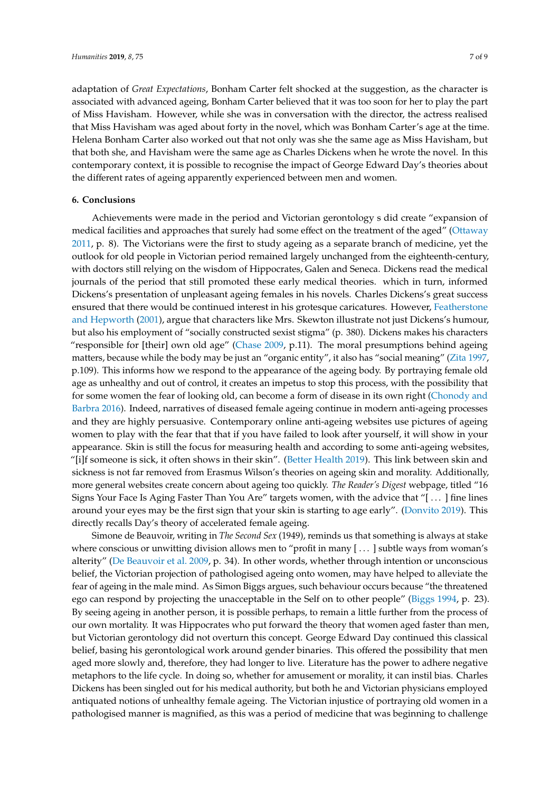adaptation of *Great Expectations*, Bonham Carter felt shocked at the suggestion, as the character is associated with advanced ageing, Bonham Carter believed that it was too soon for her to play the part of Miss Havisham. However, while she was in conversation with the director, the actress realised that Miss Havisham was aged about forty in the novel, which was Bonham Carter's age at the time. Helena Bonham Carter also worked out that not only was she the same age as Miss Havisham, but that both she, and Havisham were the same age as Charles Dickens when he wrote the novel. In this contemporary context, it is possible to recognise the impact of George Edward Day's theories about the different rates of ageing apparently experienced between men and women.

#### **6. Conclusions**

Achievements were made in the period and Victorian gerontology s did create "expansion of medical facilities and approaches that surely had some effect on the treatment of the aged" [\(Ottaway](#page-8-22) [2011,](#page-8-22) p. 8). The Victorians were the first to study ageing as a separate branch of medicine, yet the outlook for old people in Victorian period remained largely unchanged from the eighteenth-century, with doctors still relying on the wisdom of Hippocrates, Galen and Seneca. Dickens read the medical journals of the period that still promoted these early medical theories. which in turn, informed Dickens's presentation of unpleasant ageing females in his novels. Charles Dickens's great success ensured that there would be continued interest in his grotesque caricatures. However, [Featherstone](#page-7-14) [and Hepworth](#page-7-14) [\(2001\)](#page-7-14), argue that characters like Mrs. Skewton illustrate not just Dickens's humour, but also his employment of "socially constructed sexist stigma" (p. 380). Dickens makes his characters "responsible for [their] own old age" [\(Chase](#page-7-3)  $2009$ , p.11). The moral presumptions behind ageing matters, because while the body may be just an "organic entity", it also has "social meaning" [\(Zita](#page-8-23) [1997,](#page-8-23) p.109). This informs how we respond to the appearance of the ageing body. By portraying female old age as unhealthy and out of control, it creates an impetus to stop this process, with the possibility that for some women the fear of looking old, can become a form of disease in its own right [\(Chonody and](#page-7-15) [Barbra](#page-7-15) [2016\)](#page-7-15). Indeed, narratives of diseased female ageing continue in modern anti-ageing processes and they are highly persuasive. Contemporary online anti-ageing websites use pictures of ageing women to play with the fear that that if you have failed to look after yourself, it will show in your appearance. Skin is still the focus for measuring health and according to some anti-ageing websites, "[i]f someone is sick, it often shows in their skin". [\(Better Health](#page-7-16) [2019\)](#page-7-16). This link between skin and sickness is not far removed from Erasmus Wilson's theories on ageing skin and morality. Additionally, more general websites create concern about ageing too quickly. *The Reader's Digest* webpage, titled "16 Signs Your Face Is Aging Faster Than You Are" targets women, with the advice that "[...] fine lines around your eyes may be the first sign that your skin is starting to age early". [\(Donvito](#page-7-17) [2019\)](#page-7-17). This directly recalls Day's theory of accelerated female ageing.

Simone de Beauvoir, writing in *The Second Sex* (1949), reminds us that something is always at stake where conscious or unwitting division allows men to "profit in many [ . . . ] subtle ways from woman's alterity" [\(De Beauvoir et al.](#page-7-18) [2009,](#page-7-18) p. 34). In other words, whether through intention or unconscious belief, the Victorian projection of pathologised ageing onto women, may have helped to alleviate the fear of ageing in the male mind. As Simon Biggs argues, such behaviour occurs because "the threatened ego can respond by projecting the unacceptable in the Self on to other people" [\(Biggs](#page-7-19) [1994,](#page-7-19) p. 23). By seeing ageing in another person, it is possible perhaps, to remain a little further from the process of our own mortality. It was Hippocrates who put forward the theory that women aged faster than men, but Victorian gerontology did not overturn this concept. George Edward Day continued this classical belief, basing his gerontological work around gender binaries. This offered the possibility that men aged more slowly and, therefore, they had longer to live. Literature has the power to adhere negative metaphors to the life cycle. In doing so, whether for amusement or morality, it can instil bias. Charles Dickens has been singled out for his medical authority, but both he and Victorian physicians employed antiquated notions of unhealthy female ageing. The Victorian injustice of portraying old women in a pathologised manner is magnified, as this was a period of medicine that was beginning to challenge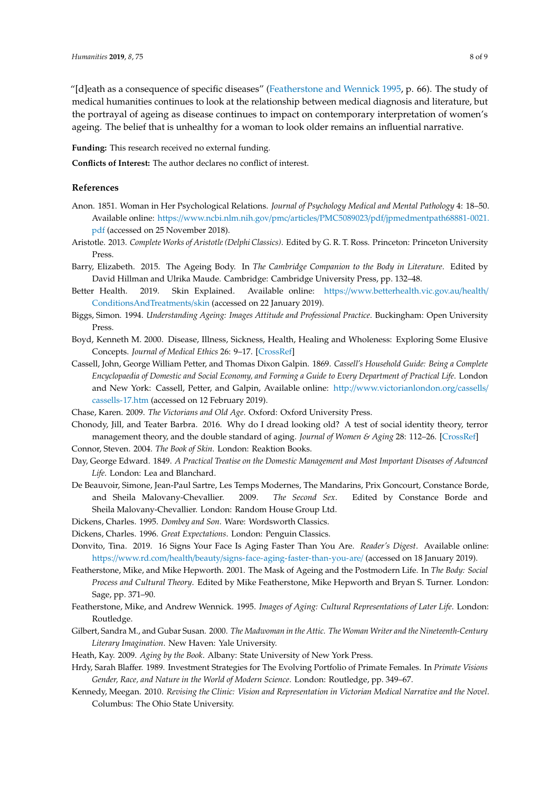"[d]eath as a consequence of specific diseases" [\(Featherstone and Wennick](#page-7-20) [1995,](#page-7-20) p. 66). The study of medical humanities continues to look at the relationship between medical diagnosis and literature, but the portrayal of ageing as disease continues to impact on contemporary interpretation of women's ageing. The belief that is unhealthy for a woman to look older remains an influential narrative.

**Funding:** This research received no external funding.

**Conflicts of Interest:** The author declares no conflict of interest.

#### **References**

- <span id="page-7-11"></span>Anon. 1851. Woman in Her Psychological Relations. *Journal of Psychology Medical and Mental Pathology* 4: 18–50. Available online: https://www.ncbi.nlm.nih.gov/pmc/articles/PMC5089023/pdf/[jpmedmentpath68881-0021.](https://www.ncbi.nlm.nih.gov/pmc/articles/PMC5089023/pdf/jpmedmentpath68881-0021.pdf) [pdf](https://www.ncbi.nlm.nih.gov/pmc/articles/PMC5089023/pdf/jpmedmentpath68881-0021.pdf) (accessed on 25 November 2018).
- <span id="page-7-12"></span>Aristotle. 2013. *Complete Works of Aristotle (Delphi Classics)*. Edited by G. R. T. Ross. Princeton: Princeton University Press.
- <span id="page-7-13"></span>Barry, Elizabeth. 2015. The Ageing Body. In *The Cambridge Companion to the Body in Literature*. Edited by David Hillman and Ulrika Maude. Cambridge: Cambridge University Press, pp. 132–48.
- <span id="page-7-16"></span>Better Health. 2019. Skin Explained. Available online: https://[www.betterhealth.vic.gov.au](https://www.betterhealth.vic.gov.au/health/ConditionsAndTreatments/skin)/health/ [ConditionsAndTreatments](https://www.betterhealth.vic.gov.au/health/ConditionsAndTreatments/skin)/skin (accessed on 22 January 2019).
- <span id="page-7-19"></span>Biggs, Simon. 1994. *Understanding Ageing: Images Attitude and Professional Practice*. Buckingham: Open University Press.
- <span id="page-7-0"></span>Boyd, Kenneth M. 2000. Disease, Illness, Sickness, Health, Healing and Wholeness: Exploring Some Elusive Concepts. *Journal of Medical Ethics* 26: 9–17. [\[CrossRef\]](http://dx.doi.org/10.1136/mh.26.1.9)
- <span id="page-7-8"></span>Cassell, John, George William Petter, and Thomas Dixon Galpin. 1869. *Cassell's Household Guide: Being a Complete Encyclopaedia of Domestic and Social Economy, and Forming a Guide to Every Department of Practical Life*. London and New York: Cassell, Petter, and Galpin, Available online: http://[www.victorianlondon.org](http://www.victorianlondon.org/cassells/cassells-17.htm)/cassells/ [cassells-17.htm](http://www.victorianlondon.org/cassells/cassells-17.htm) (accessed on 12 February 2019).
- <span id="page-7-15"></span><span id="page-7-3"></span>Chase, Karen. 2009. *The Victorians and Old Age*. Oxford: Oxford University Press.
- Chonody, Jill, and Teater Barbra. 2016. Why do I dread looking old? A test of social identity theory, terror management theory, and the double standard of aging. *Journal of Women & Aging* 28: 112–26. [\[CrossRef\]](http://dx.doi.org/10.1080/08952841.2014.950533)
- <span id="page-7-9"></span>Connor, Steven. 2004. *The Book of Skin*. London: Reaktion Books.
- <span id="page-7-5"></span>Day, George Edward. 1849. *A Practical Treatise on the Domestic Management and Most Important Diseases of Advanced Life*. London: Lea and Blanchard.
- <span id="page-7-18"></span>De Beauvoir, Simone, Jean-Paul Sartre, Les Temps Modernes, The Mandarins, Prix Goncourt, Constance Borde, and Sheila Malovany-Chevallier. 2009. *The Second Sex*. Edited by Constance Borde and Sheila Malovany-Chevallier. London: Random House Group Ltd.
- <span id="page-7-7"></span>Dickens, Charles. 1995. *Dombey and Son*. Ware: Wordsworth Classics.
- <span id="page-7-17"></span><span id="page-7-10"></span>Dickens, Charles. 1996. *Great Expectations*. London: Penguin Classics.
- Donvito, Tina. 2019. 16 Signs Your Face Is Aging Faster Than You Are. *Reader's Digest*. Available online: https://www.rd.com/health/beauty/[signs-face-aging-faster-than-you-are](https://www.rd.com/health/beauty/signs-face-aging-faster-than-you-are/)/ (accessed on 18 January 2019).
- <span id="page-7-14"></span>Featherstone, Mike, and Mike Hepworth. 2001. The Mask of Ageing and the Postmodern Life. In *The Body: Social Process and Cultural Theory*. Edited by Mike Featherstone, Mike Hepworth and Bryan S. Turner. London: Sage, pp. 371–90.
- <span id="page-7-20"></span>Featherstone, Mike, and Andrew Wennick. 1995. *Images of Aging: Cultural Representations of Later Life*. London: Routledge.
- <span id="page-7-1"></span>Gilbert, Sandra M., and Gubar Susan. 2000. *The Madwoman in the Attic. The Woman Writer and the Nineteenth-Century Literary Imagination*. New Haven: Yale University.
- <span id="page-7-4"></span>Heath, Kay. 2009. *Aging by the Book*. Albany: State University of New York Press.
- <span id="page-7-2"></span>Hrdy, Sarah Blaffer. 1989. Investment Strategies for The Evolving Portfolio of Primate Females. In *Primate Visions Gender, Race, and Nature in the World of Modern Science*. London: Routledge, pp. 349–67.
- <span id="page-7-6"></span>Kennedy, Meegan. 2010. *Revising the Clinic: Vision and Representation in Victorian Medical Narrative and the Novel*. Columbus: The Ohio State University.